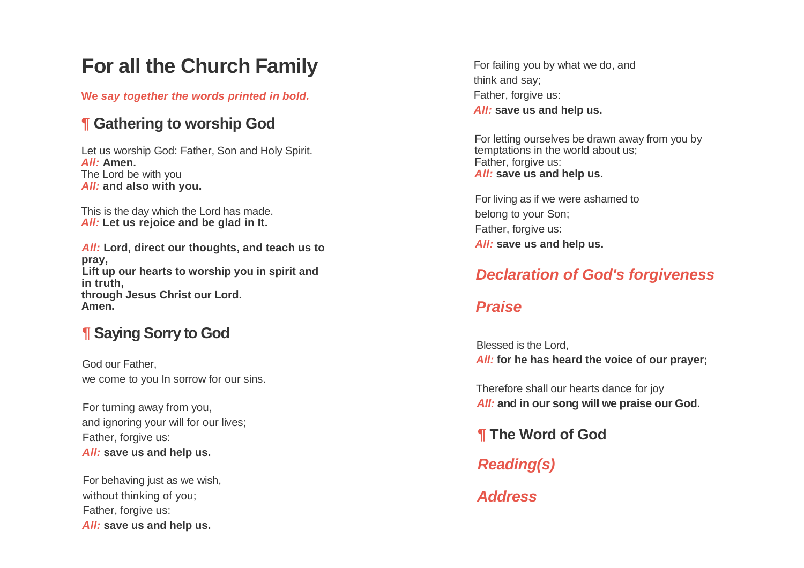# **For all the Church Family**

**We** *say together the words printed in bold.*

## **¶ Gathering to worship God**

Let us worship God: Father, Son and Holy Spirit. *All :* **Amen .** The Lord be with you *All :* **and also with you.**

This is the day which the Lord has made. *All :* **Let us rejoice and be glad in It.**

*All :* **Lord, direct our thoughts, and teach us to pray, Lift up our hearts to worship you in spirit and in truth, through Jesus Christ our Lord. Amen.**

## **¶ Saying Sorry to God**

God our Father, we come to you In sorrow for our sins.

For turning away from you, and ignoring your will for our lives; Father, forgive us: *All :* **save us and help us.**

For behaving just as we wish, without thinking of you; Father, forgive us: *All :* **save us and help us.**

For failing you by what we do, and think and say; Father, forgive us:

*All :* **save us and help us.**

For letting ourselves be drawn away from you by temptations in the world about us; Father, forgive us: *All :* **save us and help us.**

For living as if we were ashamed to belong to your Son; Father, forgive us: *All :* **save us and help us.**

## *Declaration of God's forgiveness*

## *Praise*

Blessed is the Lord, *All :* **for he has heard the voice of our prayer ;**

Therefore shall our hearts dance for joy *All:* **and in our song will we praise our God.**

**¶ The Word of God**

*Reading(s)*

*Address*